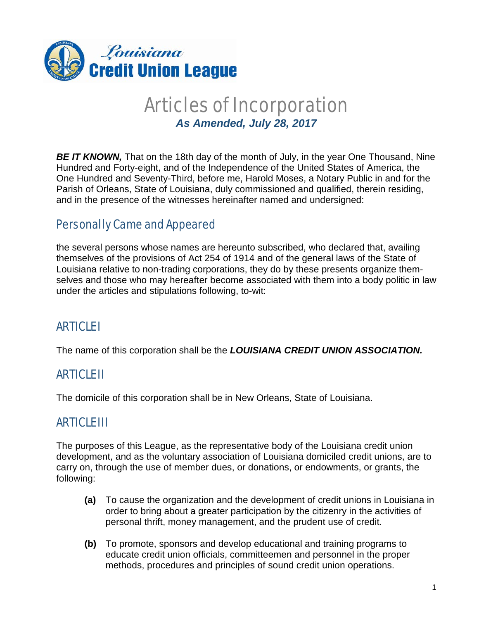

## Articles of Incorporation *As Amended, July 28, 2017*

**BE IT KNOWN,** That on the 18th day of the month of July, in the year One Thousand, Nine Hundred and Forty-eight, and of the Independence of the United States of America, the One Hundred and Seventy-Third, before me, Harold Moses, a Notary Public in and for the Parish of Orleans, State of Louisiana, duly commissioned and qualified, therein residing, and in the presence of the witnesses hereinafter named and undersigned:

### Personally Came and Appeared

the several persons whose names are hereunto subscribed, who declared that, availing themselves of the provisions of Act 254 of 1914 and of the general laws of the State of Louisiana relative to non-trading corporations, they do by these presents organize themselves and those who may hereafter become associated with them into a body politic in law under the articles and stipulations following, to-wit:

### **ARTICLE**

The name of this corporation shall be the *LOUISIANA CREDIT UNION ASSOCIATION.*

### ARTICLE II

The domicile of this corporation shall be in New Orleans, State of Louisiana.

### ARTICLE III

The purposes of this League, as the representative body of the Louisiana credit union development, and as the voluntary association of Louisiana domiciled credit unions, are to carry on, through the use of member dues, or donations, or endowments, or grants, the following:

- **(a)** To cause the organization and the development of credit unions in Louisiana in order to bring about a greater participation by the citizenry in the activities of personal thrift, money management, and the prudent use of credit.
- **(b)** To promote, sponsors and develop educational and training programs to educate credit union officials, committeemen and personnel in the proper methods, procedures and principles of sound credit union operations.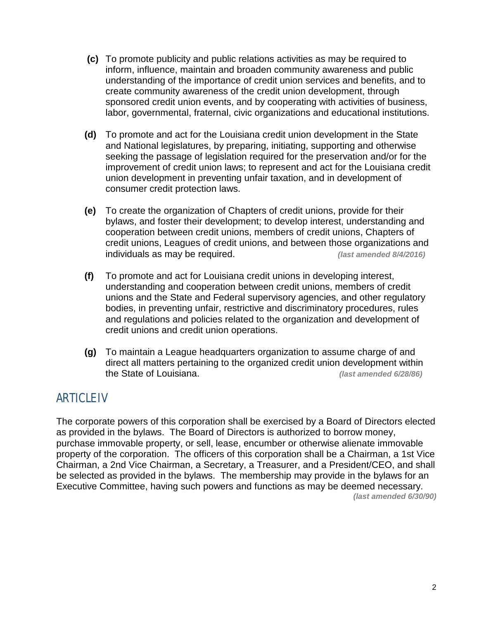- **(c)** To promote publicity and public relations activities as may be required to inform, influence, maintain and broaden community awareness and public understanding of the importance of credit union services and benefits, and to create community awareness of the credit union development, through sponsored credit union events, and by cooperating with activities of business, labor, governmental, fraternal, civic organizations and educational institutions.
- **(d)** To promote and act for the Louisiana credit union development in the State and National legislatures, by preparing, initiating, supporting and otherwise seeking the passage of legislation required for the preservation and/or for the improvement of credit union laws; to represent and act for the Louisiana credit union development in preventing unfair taxation, and in development of consumer credit protection laws.
- **(e)** To create the organization of Chapters of credit unions, provide for their bylaws, and foster their development; to develop interest, understanding and cooperation between credit unions, members of credit unions, Chapters of credit unions, Leagues of credit unions, and between those organizations and individuals as may be required. *(last amended 8/4/2016)*
- **(f)** To promote and act for Louisiana credit unions in developing interest, understanding and cooperation between credit unions, members of credit unions and the State and Federal supervisory agencies, and other regulatory bodies, in preventing unfair, restrictive and discriminatory procedures, rules and regulations and policies related to the organization and development of credit unions and credit union operations.
- **(g)** To maintain a League headquarters organization to assume charge of and direct all matters pertaining to the organized credit union development within the State of Louisiana. *(last amended 6/28/86)*

### ARTICLE IV

The corporate powers of this corporation shall be exercised by a Board of Directors elected as provided in the bylaws. The Board of Directors is authorized to borrow money, purchase immovable property, or sell, lease, encumber or otherwise alienate immovable property of the corporation. The officers of this corporation shall be a Chairman, a 1st Vice Chairman, a 2nd Vice Chairman, a Secretary, a Treasurer, and a President/CEO, and shall be selected as provided in the bylaws. The membership may provide in the bylaws for an Executive Committee, having such powers and functions as may be deemed necessary. *(last amended 6/30/90)*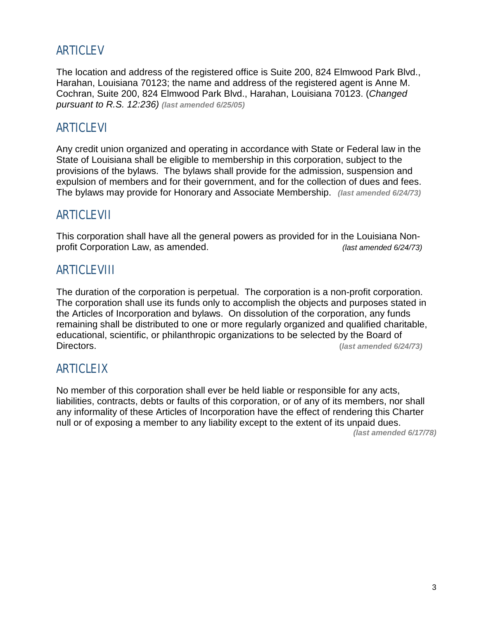### ARTICLE V

The location and address of the registered office is Suite 200, 824 Elmwood Park Blvd., Harahan, Louisiana 70123; the name and address of the registered agent is Anne M. Cochran, Suite 200, 824 Elmwood Park Blvd., Harahan, Louisiana 70123. (*Changed pursuant to R.S. 12:236) (last amended 6/25/05)*

### ARTICLE VI

Any credit union organized and operating in accordance with State or Federal law in the State of Louisiana shall be eligible to membership in this corporation, subject to the provisions of the bylaws. The bylaws shall provide for the admission, suspension and expulsion of members and for their government, and for the collection of dues and fees. The bylaws may provide for Honorary and Associate Membership. *(last amended 6/24/73)*

### ARTICLE VII

This corporation shall have all the general powers as provided for in the Louisiana Nonprofit Corporation Law, as amended. *(last amended 6/24/73)* 

### ARTICLE VIII

The duration of the corporation is perpetual. The corporation is a non-profit corporation. The corporation shall use its funds only to accomplish the objects and purposes stated in the Articles of Incorporation and bylaws. On dissolution of the corporation, any funds remaining shall be distributed to one or more regularly organized and qualified charitable, educational, scientific, or philanthropic organizations to be selected by the Board of Directors. **(***last amended 6/24/73)*

### ARTICLE IX

No member of this corporation shall ever be held liable or responsible for any acts, liabilities, contracts, debts or faults of this corporation, or of any of its members, nor shall any informality of these Articles of Incorporation have the effect of rendering this Charter null or of exposing a member to any liability except to the extent of its unpaid dues.

*(last amended 6/17/78)*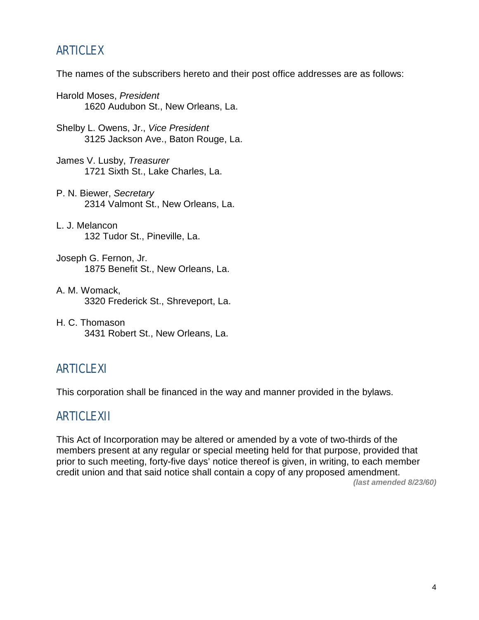### ARTICLE X

The names of the subscribers hereto and their post office addresses are as follows:

- Harold Moses, *President* 1620 Audubon St., New Orleans, La.
- Shelby L. Owens, Jr., *Vice President* 3125 Jackson Ave., Baton Rouge, La.
- James V. Lusby, *Treasurer* 1721 Sixth St., Lake Charles, La.
- P. N. Biewer, *Secretary* 2314 Valmont St., New Orleans, La.
- L. J. Melancon 132 Tudor St., Pineville, La.
- Joseph G. Fernon, Jr. 1875 Benefit St., New Orleans, La.
- A. M. Womack, 3320 Frederick St., Shreveport, La.
- H. C. Thomason 3431 Robert St., New Orleans, La.

### ARTICLE XI

This corporation shall be financed in the way and manner provided in the bylaws.

### ARTICLE XII

This Act of Incorporation may be altered or amended by a vote of two-thirds of the members present at any regular or special meeting held for that purpose, provided that prior to such meeting, forty-five days' notice thereof is given, in writing, to each member credit union and that said notice shall contain a copy of any proposed amendment.

*(last amended 8/23/60)*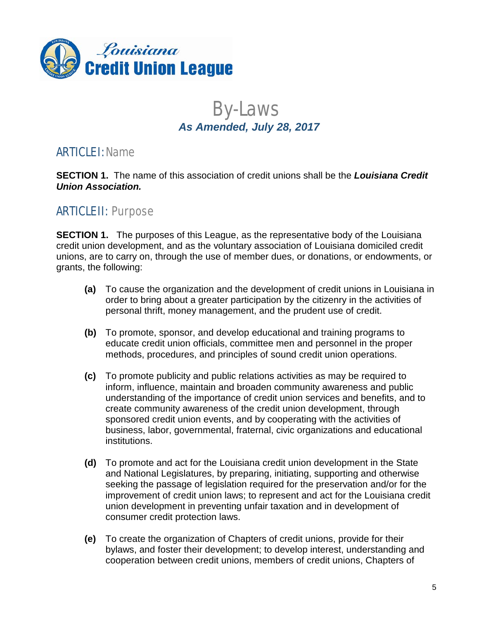

# By-Laws *As Amended, July 28, 2017*

### **ARTICLE I: Name**

**SECTION 1.** The name of this association of credit unions shall be the *Louisiana Credit Union Association.*

### ARTICLE II: Purpose

**SECTION 1.** The purposes of this League, as the representative body of the Louisiana credit union development, and as the voluntary association of Louisiana domiciled credit unions, are to carry on, through the use of member dues, or donations, or endowments, or grants, the following:

- **(a)** To cause the organization and the development of credit unions in Louisiana in order to bring about a greater participation by the citizenry in the activities of personal thrift, money management, and the prudent use of credit.
- **(b)** To promote, sponsor, and develop educational and training programs to educate credit union officials, committee men and personnel in the proper methods, procedures, and principles of sound credit union operations.
- **(c)** To promote publicity and public relations activities as may be required to inform, influence, maintain and broaden community awareness and public understanding of the importance of credit union services and benefits, and to create community awareness of the credit union development, through sponsored credit union events, and by cooperating with the activities of business, labor, governmental, fraternal, civic organizations and educational institutions.
- **(d)** To promote and act for the Louisiana credit union development in the State and National Legislatures, by preparing, initiating, supporting and otherwise seeking the passage of legislation required for the preservation and/or for the improvement of credit union laws; to represent and act for the Louisiana credit union development in preventing unfair taxation and in development of consumer credit protection laws.
- **(e)** To create the organization of Chapters of credit unions, provide for their bylaws, and foster their development; to develop interest, understanding and cooperation between credit unions, members of credit unions, Chapters of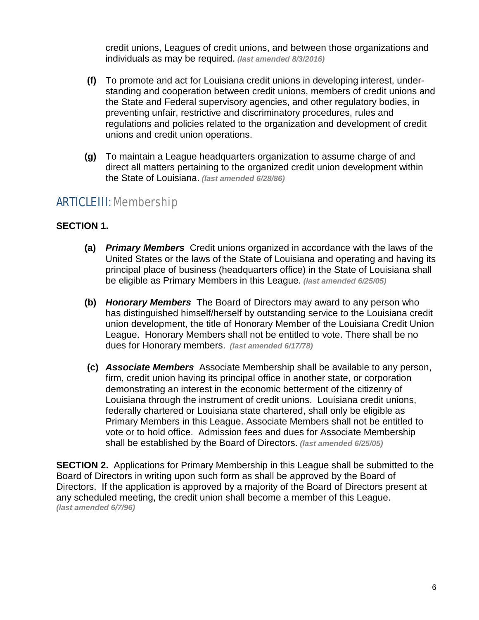credit unions, Leagues of credit unions, and between those organizations and individuals as may be required. *(last amended 8/3/2016)*

- **(f)** To promote and act for Louisiana credit unions in developing interest, understanding and cooperation between credit unions, members of credit unions and the State and Federal supervisory agencies, and other regulatory bodies, in preventing unfair, restrictive and discriminatory procedures, rules and regulations and policies related to the organization and development of credit unions and credit union operations.
- **(g)** To maintain a League headquarters organization to assume charge of and direct all matters pertaining to the organized credit union development within the State of Louisiana. *(last amended 6/28/86)*

### ARTICLE III: Membership

#### **SECTION 1.**

- **(a)** *Primary Members* Credit unions organized in accordance with the laws of the United States or the laws of the State of Louisiana and operating and having its principal place of business (headquarters office) in the State of Louisiana shall be eligible as Primary Members in this League. *(last amended 6/25/05)*
- **(b)** *Honorary Members* The Board of Directors may award to any person who has distinguished himself/herself by outstanding service to the Louisiana credit union development, the title of Honorary Member of the Louisiana Credit Union League. Honorary Members shall not be entitled to vote. There shall be no dues for Honorary members. *(last amended 6/17/78)*
- **(c)** *Associate Members* Associate Membership shall be available to any person, firm, credit union having its principal office in another state, or corporation demonstrating an interest in the economic betterment of the citizenry of Louisiana through the instrument of credit unions. Louisiana credit unions, federally chartered or Louisiana state chartered, shall only be eligible as Primary Members in this League. Associate Members shall not be entitled to vote or to hold office. Admission fees and dues for Associate Membership shall be established by the Board of Directors. *(last amended 6/25/05)*

**SECTION 2.** Applications for Primary Membership in this League shall be submitted to the Board of Directors in writing upon such form as shall be approved by the Board of Directors. If the application is approved by a majority of the Board of Directors present at any scheduled meeting, the credit union shall become a member of this League. *(last amended 6/7/96)*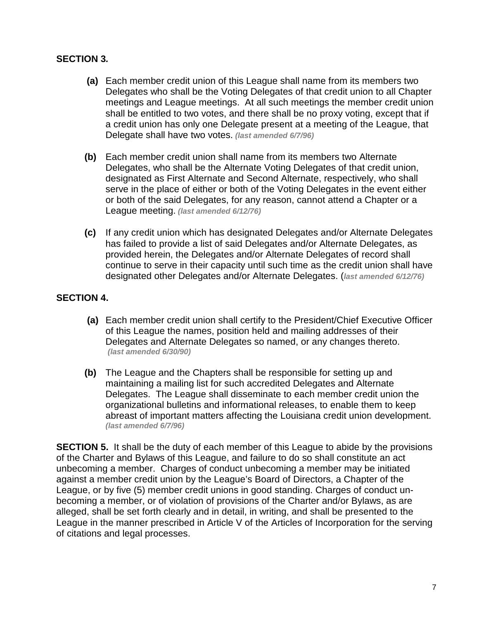#### **SECTION 3***.*

- **(a)** Each member credit union of this League shall name from its members two Delegates who shall be the Voting Delegates of that credit union to all Chapter meetings and League meetings. At all such meetings the member credit union shall be entitled to two votes, and there shall be no proxy voting, except that if a credit union has only one Delegate present at a meeting of the League, that Delegate shall have two votes. *(last amended 6/7/96)*
- **(b)** Each member credit union shall name from its members two Alternate Delegates, who shall be the Alternate Voting Delegates of that credit union, designated as First Alternate and Second Alternate, respectively, who shall serve in the place of either or both of the Voting Delegates in the event either or both of the said Delegates, for any reason, cannot attend a Chapter or a League meeting. *(last amended 6/12/76)*
- **(c)** If any credit union which has designated Delegates and/or Alternate Delegates has failed to provide a list of said Delegates and/or Alternate Delegates, as provided herein, the Delegates and/or Alternate Delegates of record shall continue to serve in their capacity until such time as the credit union shall have designated other Delegates and/or Alternate Delegates. (*last amended 6/12/76)*

#### **SECTION 4.**

- **(a)** Each member credit union shall certify to the President/Chief Executive Officer of this League the names, position held and mailing addresses of their Delegates and Alternate Delegates so named, or any changes thereto. *(last amended 6/30/90)*
- **(b)** The League and the Chapters shall be responsible for setting up and maintaining a mailing list for such accredited Delegates and Alternate Delegates. The League shall disseminate to each member credit union the organizational bulletins and informational releases, to enable them to keep abreast of important matters affecting the Louisiana credit union development. *(last amended 6/7/96)*

**SECTION 5.** It shall be the duty of each member of this League to abide by the provisions of the Charter and Bylaws of this League, and failure to do so shall constitute an act unbecoming a member. Charges of conduct unbecoming a member may be initiated against a member credit union by the League's Board of Directors, a Chapter of the League, or by five (5) member credit unions in good standing. Charges of conduct unbecoming a member, or of violation of provisions of the Charter and/or Bylaws, as are alleged, shall be set forth clearly and in detail, in writing, and shall be presented to the League in the manner prescribed in Article V of the Articles of Incorporation for the serving of citations and legal processes.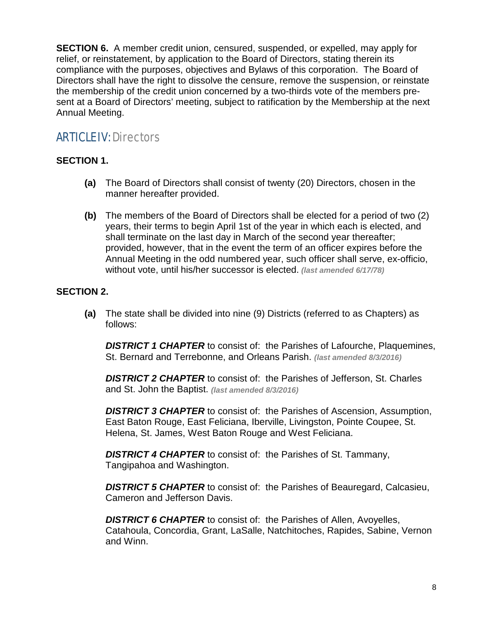**SECTION 6.** A member credit union, censured, suspended, or expelled, may apply for relief, or reinstatement, by application to the Board of Directors, stating therein its compliance with the purposes, objectives and Bylaws of this corporation. The Board of Directors shall have the right to dissolve the censure, remove the suspension, or reinstate the membership of the credit union concerned by a two-thirds vote of the members present at a Board of Directors' meeting, subject to ratification by the Membership at the next Annual Meeting.

### ARTICLE IV: Directors

#### **SECTION 1.**

- **(a)** The Board of Directors shall consist of twenty (20) Directors, chosen in the manner hereafter provided.
- **(b)** The members of the Board of Directors shall be elected for a period of two (2) years, their terms to begin April 1st of the year in which each is elected, and shall terminate on the last day in March of the second year thereafter; provided, however, that in the event the term of an officer expires before the Annual Meeting in the odd numbered year, such officer shall serve, ex-officio, without vote, until his/her successor is elected. *(last amended 6/17/78)*

#### **SECTION 2.**

**(a)** The state shall be divided into nine (9) Districts (referred to as Chapters) as follows:

**DISTRICT 1 CHAPTER** to consist of: the Parishes of Lafourche, Plaquemines, St. Bernard and Terrebonne, and Orleans Parish. *(last amended 8/3/2016)*

*DISTRICT 2 CHAPTER* to consist of: the Parishes of Jefferson, St. Charles and St. John the Baptist. *(last amended 8/3/2016)*

*DISTRICT 3 CHAPTER* to consist of: the Parishes of Ascension, Assumption, East Baton Rouge, East Feliciana, Iberville, Livingston, Pointe Coupee, St. Helena, St. James, West Baton Rouge and West Feliciana.

*DISTRICT 4 CHAPTER* to consist of: the Parishes of St. Tammany, Tangipahoa and Washington.

**DISTRICT 5 CHAPTER** to consist of: the Parishes of Beauregard, Calcasieu, Cameron and Jefferson Davis.

*DISTRICT 6 CHAPTER* to consist of: the Parishes of Allen, Avoyelles, Catahoula, Concordia, Grant, LaSalle, Natchitoches, Rapides, Sabine, Vernon and Winn.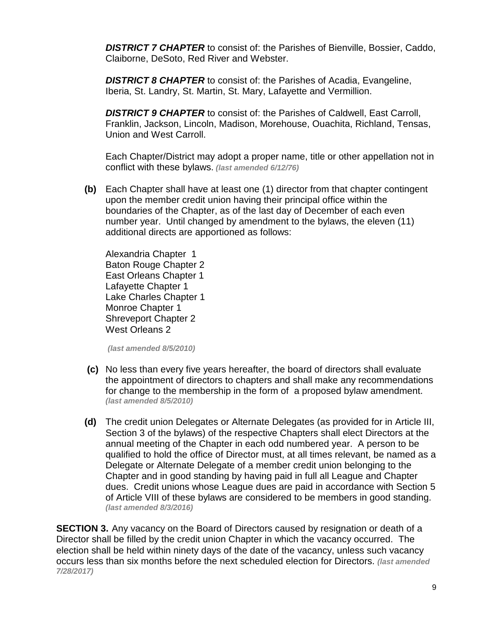*DISTRICT 7 CHAPTER* to consist of: the Parishes of Bienville, Bossier, Caddo, Claiborne, DeSoto, Red River and Webster.

*DISTRICT 8 CHAPTER* to consist of: the Parishes of Acadia, Evangeline, Iberia, St. Landry, St. Martin, St. Mary, Lafayette and Vermillion.

*DISTRICT 9 CHAPTER* to consist of: the Parishes of Caldwell, East Carroll, Franklin, Jackson, Lincoln, Madison, Morehouse, Ouachita, Richland, Tensas, Union and West Carroll.

Each Chapter/District may adopt a proper name, title or other appellation not in conflict with these bylaws. *(last amended 6/12/76)*

**(b)** Each Chapter shall have at least one (1) director from that chapter contingent upon the member credit union having their principal office within the boundaries of the Chapter, as of the last day of December of each even number year. Until changed by amendment to the bylaws, the eleven (11) additional directs are apportioned as follows:

Alexandria Chapter 1 Baton Rouge Chapter 2 East Orleans Chapter 1 Lafayette Chapter 1 Lake Charles Chapter 1 Monroe Chapter 1 Shreveport Chapter 2 West Orleans 2

*(last amended 8/5/2010)*

- **(c)** No less than every five years hereafter, the board of directors shall evaluate the appointment of directors to chapters and shall make any recommendations for change to the membership in the form of a proposed bylaw amendment. *(last amended 8/5/2010)*
- **(d)** The credit union Delegates or Alternate Delegates (as provided for in Article III, Section 3 of the bylaws) of the respective Chapters shall elect Directors at the annual meeting of the Chapter in each odd numbered year. A person to be qualified to hold the office of Director must, at all times relevant, be named as a Delegate or Alternate Delegate of a member credit union belonging to the Chapter and in good standing by having paid in full all League and Chapter dues. Credit unions whose League dues are paid in accordance with Section 5 of Article VIII of these bylaws are considered to be members in good standing. *(last amended 8/3/2016)*

**SECTION 3.** Any vacancy on the Board of Directors caused by resignation or death of a Director shall be filled by the credit union Chapter in which the vacancy occurred. The election shall be held within ninety days of the date of the vacancy, unless such vacancy occurs less than six months before the next scheduled election for Directors. *(last amended 7/28/2017)*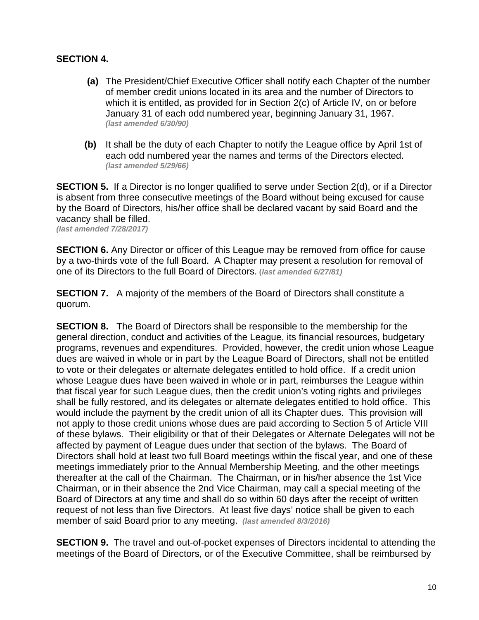#### **SECTION 4.**

- **(a)** The President/Chief Executive Officer shall notify each Chapter of the number of member credit unions located in its area and the number of Directors to which it is entitled, as provided for in Section 2(c) of Article IV, on or before January 31 of each odd numbered year, beginning January 31, 1967. *(last amended 6/30/90)*
- **(b)** It shall be the duty of each Chapter to notify the League office by April 1st of each odd numbered year the names and terms of the Directors elected. *(last amended 5/29/66)*

**SECTION 5.** If a Director is no longer qualified to serve under Section 2(d), or if a Director is absent from three consecutive meetings of the Board without being excused for cause by the Board of Directors, his/her office shall be declared vacant by said Board and the vacancy shall be filled.

*(last amended 7/28/2017)*

**SECTION 6.** Any Director or officer of this League may be removed from office for cause by a two-thirds vote of the full Board. A Chapter may present a resolution for removal of one of its Directors to the full Board of Directors. **(***last amended 6/27/81)*

**SECTION 7.** A majority of the members of the Board of Directors shall constitute a quorum.

**SECTION 8.** The Board of Directors shall be responsible to the membership for the general direction, conduct and activities of the League, its financial resources, budgetary programs, revenues and expenditures. Provided, however, the credit union whose League dues are waived in whole or in part by the League Board of Directors, shall not be entitled to vote or their delegates or alternate delegates entitled to hold office. If a credit union whose League dues have been waived in whole or in part, reimburses the League within that fiscal year for such League dues, then the credit union's voting rights and privileges shall be fully restored, and its delegates or alternate delegates entitled to hold office. This would include the payment by the credit union of all its Chapter dues. This provision will not apply to those credit unions whose dues are paid according to Section 5 of Article VIII of these bylaws. Their eligibility or that of their Delegates or Alternate Delegates will not be affected by payment of League dues under that section of the bylaws. The Board of Directors shall hold at least two full Board meetings within the fiscal year, and one of these meetings immediately prior to the Annual Membership Meeting, and the other meetings thereafter at the call of the Chairman. The Chairman, or in his/her absence the 1st Vice Chairman, or in their absence the 2nd Vice Chairman, may call a special meeting of the Board of Directors at any time and shall do so within 60 days after the receipt of written request of not less than five Directors. At least five days' notice shall be given to each member of said Board prior to any meeting. *(last amended 8/3/2016)*

**SECTION 9.** The travel and out-of-pocket expenses of Directors incidental to attending the meetings of the Board of Directors, or of the Executive Committee, shall be reimbursed by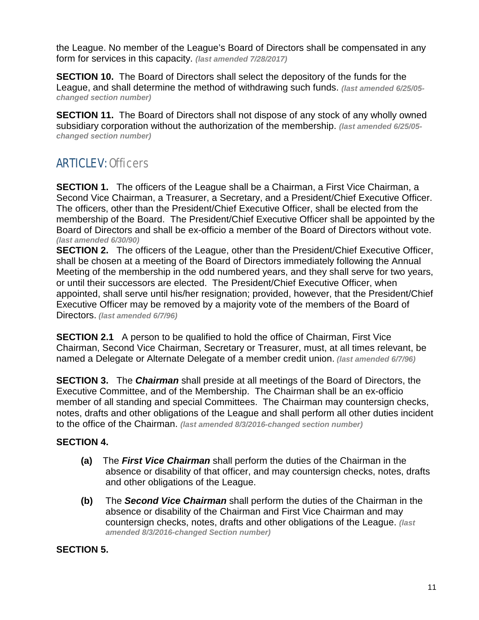the League. No member of the League's Board of Directors shall be compensated in any form for services in this capacity. *(last amended 7/28/2017)*

**SECTION 10.** The Board of Directors shall select the depository of the funds for the League, and shall determine the method of withdrawing such funds. *(last amended 6/25/05 changed section number)*

**SECTION 11.** The Board of Directors shall not dispose of any stock of any wholly owned subsidiary corporation without the authorization of the membership. *(last amended 6/25/05 changed section number)*

### ARTICLE V: Officers

**SECTION 1.** The officers of the League shall be a Chairman, a First Vice Chairman, a Second Vice Chairman, a Treasurer, a Secretary, and a President/Chief Executive Officer. The officers, other than the President/Chief Executive Officer, shall be elected from the membership of the Board. The President/Chief Executive Officer shall be appointed by the Board of Directors and shall be ex-officio a member of the Board of Directors without vote. *(last amended 6/30/90)*

**SECTION 2.** The officers of the League, other than the President/Chief Executive Officer, shall be chosen at a meeting of the Board of Directors immediately following the Annual Meeting of the membership in the odd numbered years, and they shall serve for two years, or until their successors are elected. The President/Chief Executive Officer, when appointed, shall serve until his/her resignation; provided, however, that the President/Chief Executive Officer may be removed by a majority vote of the members of the Board of Directors. *(last amended 6/7/96)*

**SECTION 2.1** A person to be qualified to hold the office of Chairman, First Vice Chairman, Second Vice Chairman, Secretary or Treasurer, must, at all times relevant, be named a Delegate or Alternate Delegate of a member credit union. *(last amended 6/7/96)*

**SECTION 3.** The *Chairman* shall preside at all meetings of the Board of Directors, the Executive Committee, and of the Membership. The Chairman shall be an ex-officio member of all standing and special Committees. The Chairman may countersign checks, notes, drafts and other obligations of the League and shall perform all other duties incident to the office of the Chairman. *(last amended 8/3/2016-changed section number)*

#### **SECTION 4.**

- **(a)** The *First Vice Chairman* shall perform the duties of the Chairman in the absence or disability of that officer, and may countersign checks, notes, drafts and other obligations of the League.
- **(b)** The *Second Vice Chairman* shall perform the duties of the Chairman in the absence or disability of the Chairman and First Vice Chairman and may countersign checks, notes, drafts and other obligations of the League. *(last amended 8/3/2016-changed Section number)*

#### **SECTION 5.**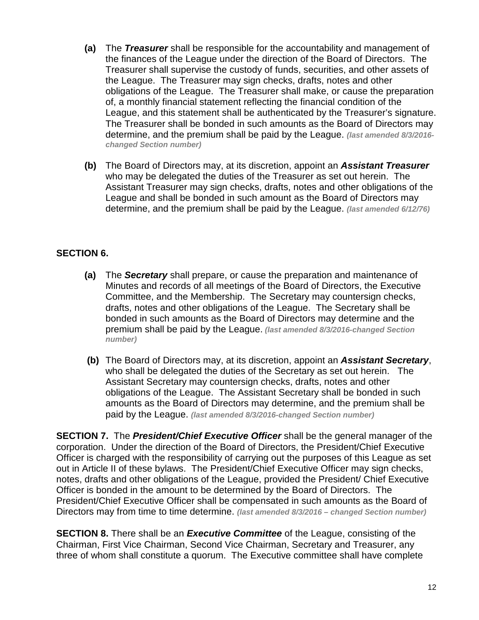- **(a)** The *Treasurer* shall be responsible for the accountability and management of the finances of the League under the direction of the Board of Directors. The Treasurer shall supervise the custody of funds, securities, and other assets of the League. The Treasurer may sign checks, drafts, notes and other obligations of the League. The Treasurer shall make, or cause the preparation of, a monthly financial statement reflecting the financial condition of the League, and this statement shall be authenticated by the Treasurer's signature. The Treasurer shall be bonded in such amounts as the Board of Directors may determine, and the premium shall be paid by the League. *(last amended 8/3/2016 changed Section number)*
- **(b)** The Board of Directors may, at its discretion, appoint an *Assistant Treasurer* who may be delegated the duties of the Treasurer as set out herein. The Assistant Treasurer may sign checks, drafts, notes and other obligations of the League and shall be bonded in such amount as the Board of Directors may determine, and the premium shall be paid by the League. *(last amended 6/12/76)*

#### **SECTION 6.**

- **(a)** The *Secretary* shall prepare, or cause the preparation and maintenance of Minutes and records of all meetings of the Board of Directors, the Executive Committee, and the Membership. The Secretary may countersign checks, drafts, notes and other obligations of the League. The Secretary shall be bonded in such amounts as the Board of Directors may determine and the premium shall be paid by the League. *(last amended 8/3/2016-changed Section number)*
- **(b)** The Board of Directors may, at its discretion, appoint an *Assistant Secretary*, who shall be delegated the duties of the Secretary as set out herein. The Assistant Secretary may countersign checks, drafts, notes and other obligations of the League. The Assistant Secretary shall be bonded in such amounts as the Board of Directors may determine, and the premium shall be paid by the League. *(last amended 8/3/2016-changed Section number)*

**SECTION 7.** The *President/Chief Executive Officer* shall be the general manager of the corporation. Under the direction of the Board of Directors, the President/Chief Executive Officer is charged with the responsibility of carrying out the purposes of this League as set out in Article II of these bylaws. The President/Chief Executive Officer may sign checks, notes, drafts and other obligations of the League, provided the President/ Chief Executive Officer is bonded in the amount to be determined by the Board of Directors. The President/Chief Executive Officer shall be compensated in such amounts as the Board of Directors may from time to time determine. *(last amended 8/3/2016 – changed Section number)*

**SECTION 8.** There shall be an *Executive Committee* of the League, consisting of the Chairman, First Vice Chairman, Second Vice Chairman, Secretary and Treasurer, any three of whom shall constitute a quorum. The Executive committee shall have complete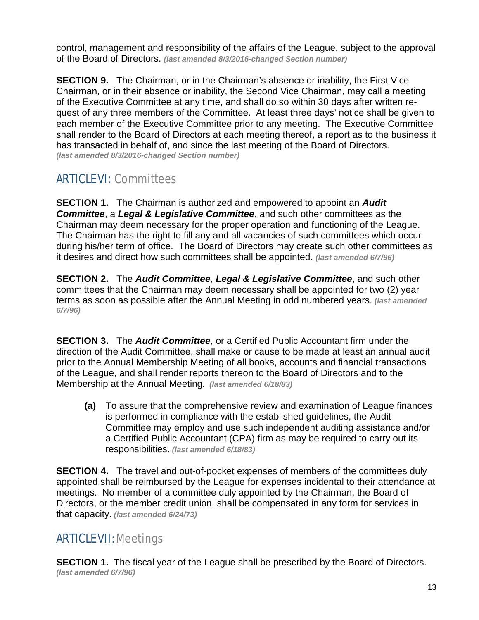control, management and responsibility of the affairs of the League, subject to the approval of the Board of Directors. *(last amended 8/3/2016-changed Section number)*

**SECTION 9.** The Chairman, or in the Chairman's absence or inability, the First Vice Chairman, or in their absence or inability, the Second Vice Chairman, may call a meeting of the Executive Committee at any time, and shall do so within 30 days after written request of any three members of the Committee. At least three days' notice shall be given to each member of the Executive Committee prior to any meeting. The Executive Committee shall render to the Board of Directors at each meeting thereof, a report as to the business it has transacted in behalf of, and since the last meeting of the Board of Directors. *(last amended 8/3/2016-changed Section number)*

### ARTICLE VI: Committees

**SECTION 1.** The Chairman is authorized and empowered to appoint an *Audit Committee*, a *Legal & Legislative Committee*, and such other committees as the Chairman may deem necessary for the proper operation and functioning of the League. The Chairman has the right to fill any and all vacancies of such committees which occur during his/her term of office. The Board of Directors may create such other committees as it desires and direct how such committees shall be appointed. *(last amended 6/7/96)*

**SECTION 2.** The *Audit Committee*, *Legal & Legislative Committee*, and such other committees that the Chairman may deem necessary shall be appointed for two (2) year terms as soon as possible after the Annual Meeting in odd numbered years. *(last amended 6/7/96)*

**SECTION 3.** The *Audit Committee*, or a Certified Public Accountant firm under the direction of the Audit Committee, shall make or cause to be made at least an annual audit prior to the Annual Membership Meeting of all books, accounts and financial transactions of the League, and shall render reports thereon to the Board of Directors and to the Membership at the Annual Meeting. *(last amended 6/18/83)*

**(a)** To assure that the comprehensive review and examination of League finances is performed in compliance with the established guidelines, the Audit Committee may employ and use such independent auditing assistance and/or a Certified Public Accountant (CPA) firm as may be required to carry out its responsibilities. *(last amended 6/18/83)*

**SECTION 4.** The travel and out-of-pocket expenses of members of the committees duly appointed shall be reimbursed by the League for expenses incidental to their attendance at meetings. No member of a committee duly appointed by the Chairman, the Board of Directors, or the member credit union, shall be compensated in any form for services in that capacity. *(last amended 6/24/73)*

### ARTICLE VII: Meetings

**SECTION 1.** The fiscal year of the League shall be prescribed by the Board of Directors. *(last amended 6/7/96)*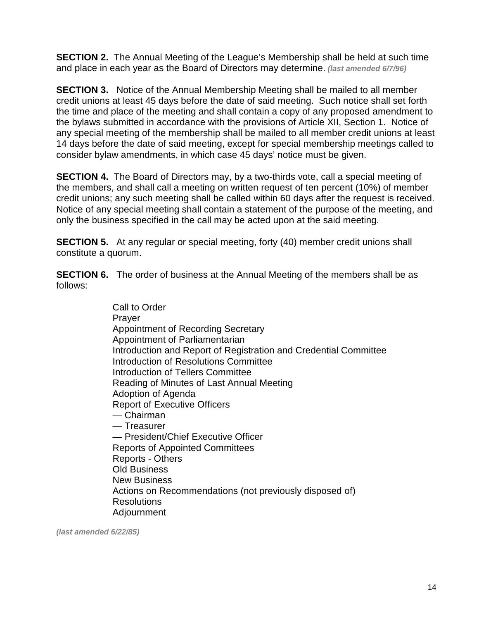**SECTION 2.** The Annual Meeting of the League's Membership shall be held at such time and place in each year as the Board of Directors may determine. *(last amended 6/7/96)*

**SECTION 3.** Notice of the Annual Membership Meeting shall be mailed to all member credit unions at least 45 days before the date of said meeting. Such notice shall set forth the time and place of the meeting and shall contain a copy of any proposed amendment to the bylaws submitted in accordance with the provisions of Article XII, Section 1. Notice of any special meeting of the membership shall be mailed to all member credit unions at least 14 days before the date of said meeting, except for special membership meetings called to consider bylaw amendments, in which case 45 days' notice must be given.

**SECTION 4.** The Board of Directors may, by a two-thirds vote, call a special meeting of the members, and shall call a meeting on written request of ten percent (10%) of member credit unions; any such meeting shall be called within 60 days after the request is received. Notice of any special meeting shall contain a statement of the purpose of the meeting, and only the business specified in the call may be acted upon at the said meeting.

**SECTION 5.** At any regular or special meeting, forty (40) member credit unions shall constitute a quorum.

**SECTION 6.** The order of business at the Annual Meeting of the members shall be as follows:

> Call to Order Prayer Appointment of Recording Secretary Appointment of Parliamentarian Introduction and Report of Registration and Credential Committee Introduction of Resolutions Committee Introduction of Tellers Committee Reading of Minutes of Last Annual Meeting Adoption of Agenda Report of Executive Officers — Chairman — Treasurer — President/Chief Executive Officer Reports of Appointed Committees Reports - Others Old Business New Business Actions on Recommendations (not previously disposed of) Resolutions Adjournment

*(last amended 6/22/85)*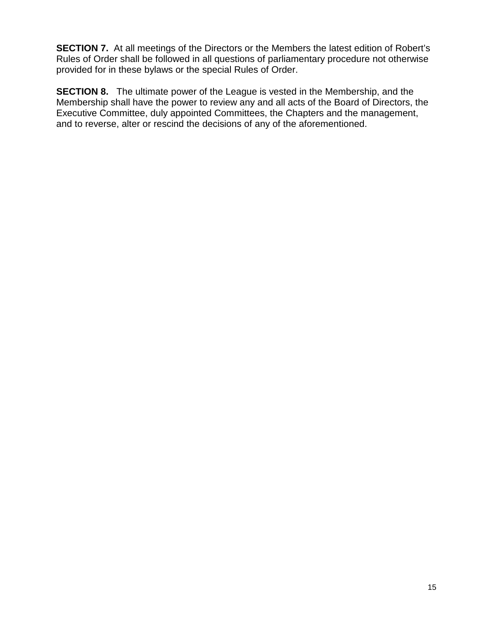**SECTION 7.** At all meetings of the Directors or the Members the latest edition of Robert's Rules of Order shall be followed in all questions of parliamentary procedure not otherwise provided for in these bylaws or the special Rules of Order.

**SECTION 8.** The ultimate power of the League is vested in the Membership, and the Membership shall have the power to review any and all acts of the Board of Directors, the Executive Committee, duly appointed Committees, the Chapters and the management, and to reverse, alter or rescind the decisions of any of the aforementioned.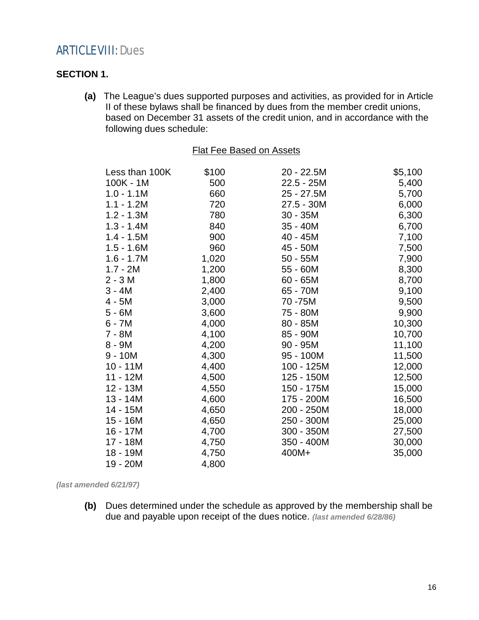### ARTICLE VIII: Dues

#### **SECTION 1.**

**(a)** The League's dues supported purposes and activities, as provided for in Article II of these bylaws shall be financed by dues from the member credit unions, based on December 31 assets of the credit union, and in accordance with the following dues schedule:

|--|

|       |              | \$5,100                  |
|-------|--------------|--------------------------|
|       |              | 5,400                    |
| 660   | 25 - 27.5M   | 5,700                    |
| 720   | 27.5 - 30M   | 6,000                    |
| 780   | 30 - 35M     | 6,300                    |
| 840   | $35 - 40M$   | 6,700                    |
| 900   | 40 - 45M     | 7,100                    |
| 960   | 45 - 50M     | 7,500                    |
| 1,020 | $50 - 55M$   | 7,900                    |
| 1,200 | 55 - 60M     | 8,300                    |
| 1,800 | 60 - 65M     | 8,700                    |
| 2,400 | 65 - 70M     | 9,100                    |
| 3,000 | 70 -75M      | 9,500                    |
| 3,600 | 75 - 80M     | 9,900                    |
| 4,000 | $80 - 85M$   | 10,300                   |
| 4,100 | 85 - 90M     | 10,700                   |
| 4,200 | 90 - 95M     | 11,100                   |
| 4,300 | 95 - 100M    | 11,500                   |
| 4,400 | 100 - 125M   | 12,000                   |
| 4,500 | 125 - 150M   | 12,500                   |
| 4,550 | 150 - 175M   | 15,000                   |
| 4,600 | 175 - 200M   | 16,500                   |
| 4,650 | 200 - 250M   | 18,000                   |
| 4,650 | 250 - 300M   | 25,000                   |
| 4,700 | 300 - 350M   | 27,500                   |
| 4,750 | 350 - 400M   | 30,000                   |
| 4,750 | 400M+        | 35,000                   |
| 4,800 |              |                          |
|       | \$100<br>500 | 20 - 22.5M<br>22.5 - 25M |

*(last amended 6/21/97)*

**(b)** Dues determined under the schedule as approved by the membership shall be due and payable upon receipt of the dues notice. *(last amended 6/28/86)*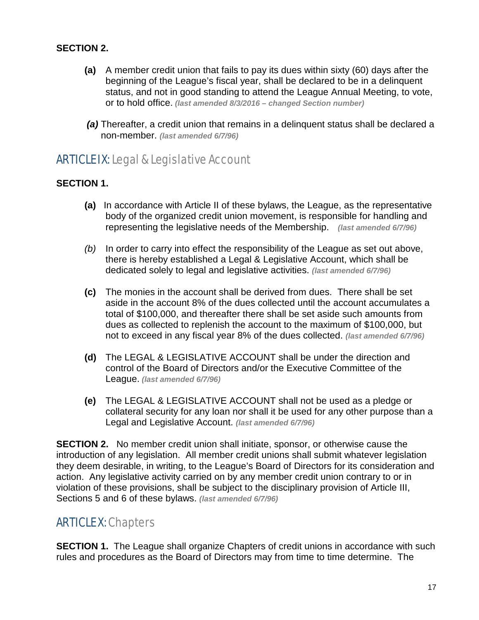#### **SECTION 2.**

- **(a)** A member credit union that fails to pay its dues within sixty (60) days after the beginning of the League's fiscal year, shall be declared to be in a delinquent status, and not in good standing to attend the League Annual Meeting, to vote, or to hold office. *(last amended 8/3/2016 – changed Section number)*
- *(a)* Thereafter, a credit union that remains in a delinquent status shall be declared a non-member. *(last amended 6/7/96)*

### ARTICLE IX:Legal & Legislative Account

#### **SECTION 1.**

- **(a)** In accordance with Article II of these bylaws, the League, as the representative body of the organized credit union movement, is responsible for handling and representing the legislative needs of the Membership. *(last amended 6/7/96)*
- *(b)* In order to carry into effect the responsibility of the League as set out above, there is hereby established a Legal & Legislative Account, which shall be dedicated solely to legal and legislative activities. *(last amended 6/7/96)*
- **(c)** The monies in the account shall be derived from dues. There shall be set aside in the account 8% of the dues collected until the account accumulates a total of \$100,000, and thereafter there shall be set aside such amounts from dues as collected to replenish the account to the maximum of \$100,000, but not to exceed in any fiscal year 8% of the dues collected. *(last amended 6/7/96)*
- **(d)** The LEGAL & LEGISLATIVE ACCOUNT shall be under the direction and control of the Board of Directors and/or the Executive Committee of the League. *(last amended 6/7/96)*
- **(e)** The LEGAL & LEGISLATIVE ACCOUNT shall not be used as a pledge or collateral security for any loan nor shall it be used for any other purpose than a Legal and Legislative Account. *(last amended 6/7/96)*

**SECTION 2.** No member credit union shall initiate, sponsor, or otherwise cause the introduction of any legislation. All member credit unions shall submit whatever legislation they deem desirable, in writing, to the League's Board of Directors for its consideration and action. Any legislative activity carried on by any member credit union contrary to or in violation of these provisions, shall be subject to the disciplinary provision of Article III, Sections 5 and 6 of these bylaws. *(last amended 6/7/96)*

### ARTICLE X: Chapters

**SECTION 1.** The League shall organize Chapters of credit unions in accordance with such rules and procedures as the Board of Directors may from time to time determine. The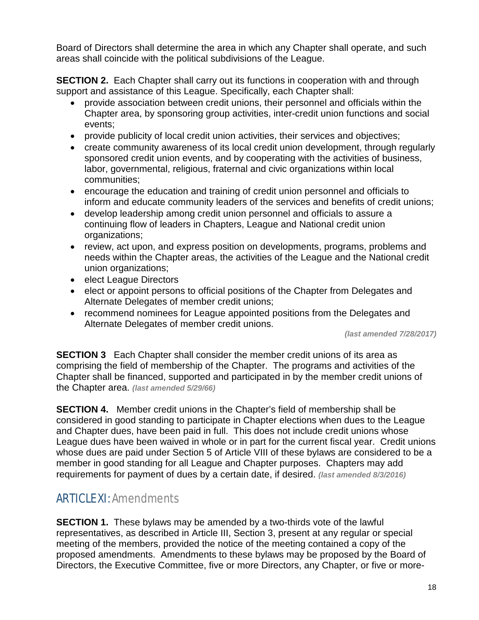Board of Directors shall determine the area in which any Chapter shall operate, and such areas shall coincide with the political subdivisions of the League.

**SECTION 2.** Each Chapter shall carry out its functions in cooperation with and through support and assistance of this League. Specifically, each Chapter shall:

- provide association between credit unions, their personnel and officials within the Chapter area, by sponsoring group activities, inter-credit union functions and social events;
- provide publicity of local credit union activities, their services and objectives;
- create community awareness of its local credit union development, through regularly sponsored credit union events, and by cooperating with the activities of business, labor, governmental, religious, fraternal and civic organizations within local communities;
- encourage the education and training of credit union personnel and officials to inform and educate community leaders of the services and benefits of credit unions;
- develop leadership among credit union personnel and officials to assure a continuing flow of leaders in Chapters, League and National credit union organizations;
- review, act upon, and express position on developments, programs, problems and needs within the Chapter areas, the activities of the League and the National credit union organizations;
- elect League Directors
- elect or appoint persons to official positions of the Chapter from Delegates and Alternate Delegates of member credit unions;
- recommend nominees for League appointed positions from the Delegates and Alternate Delegates of member credit unions.

*(last amended 7/28/2017)*

**SECTION 3** Each Chapter shall consider the member credit unions of its area as comprising the field of membership of the Chapter. The programs and activities of the Chapter shall be financed, supported and participated in by the member credit unions of the Chapter area. *(last amended 5/29/66)*

**SECTION 4.** Member credit unions in the Chapter's field of membership shall be considered in good standing to participate in Chapter elections when dues to the League and Chapter dues, have been paid in full. This does not include credit unions whose League dues have been waived in whole or in part for the current fiscal year. Credit unions whose dues are paid under Section 5 of Article VIII of these bylaws are considered to be a member in good standing for all League and Chapter purposes. Chapters may add requirements for payment of dues by a certain date, if desired. *(last amended 8/3/2016)*

### ARTICLE XI: Amendments

**SECTION 1.** These bylaws may be amended by a two-thirds yote of the lawful representatives, as described in Article III, Section 3, present at any regular or special meeting of the members, provided the notice of the meeting contained a copy of the proposed amendments. Amendments to these bylaws may be proposed by the Board of Directors, the Executive Committee, five or more Directors, any Chapter, or five or more-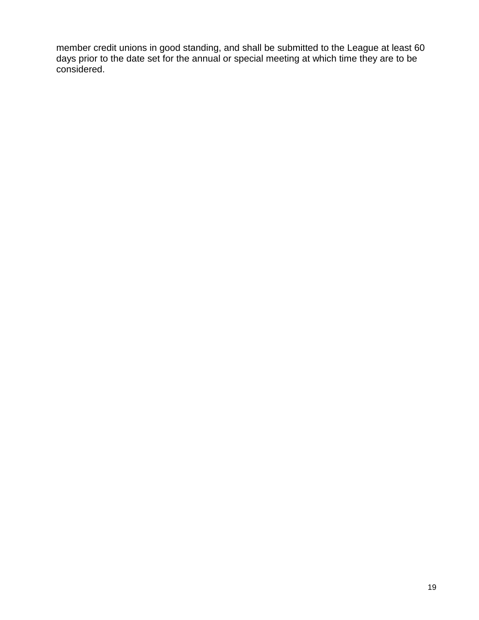member credit unions in good standing, and shall be submitted to the League at least 60 days prior to the date set for the annual or special meeting at which time they are to be considered.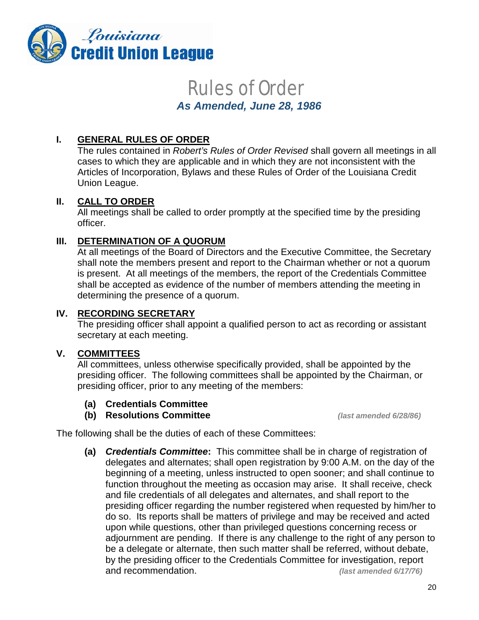

# Rules of Order

 *As Amended, June 28, 1986*

#### **I. GENERAL RULES OF ORDER**

The rules contained in *Robert's Rules of Order Revised* shall govern all meetings in all cases to which they are applicable and in which they are not inconsistent with the Articles of Incorporation, Bylaws and these Rules of Order of the Louisiana Credit Union League.

#### **II. CALL TO ORDER**

All meetings shall be called to order promptly at the specified time by the presiding officer.

#### **III. DETERMINATION OF A QUORUM**

At all meetings of the Board of Directors and the Executive Committee, the Secretary shall note the members present and report to the Chairman whether or not a quorum is present. At all meetings of the members, the report of the Credentials Committee shall be accepted as evidence of the number of members attending the meeting in determining the presence of a quorum.

#### **IV. RECORDING SECRETARY**

The presiding officer shall appoint a qualified person to act as recording or assistant secretary at each meeting.

#### **V. COMMITTEES**

All committees, unless otherwise specifically provided, shall be appointed by the presiding officer. The following committees shall be appointed by the Chairman, or presiding officer, prior to any meeting of the members:

- **(a) Credentials Committee**
- **(b) Resolutions Committee** *(last amended 6/28/86)*

The following shall be the duties of each of these Committees:

**(a)** *Credentials Committee***:** This committee shall be in charge of registration of delegates and alternates; shall open registration by 9:00 A.M. on the day of the beginning of a meeting, unless instructed to open sooner; and shall continue to function throughout the meeting as occasion may arise. It shall receive, check and file credentials of all delegates and alternates, and shall report to the presiding officer regarding the number registered when requested by him/her to do so. Its reports shall be matters of privilege and may be received and acted upon while questions, other than privileged questions concerning recess or adjournment are pending. If there is any challenge to the right of any person to be a delegate or alternate, then such matter shall be referred, without debate, by the presiding officer to the Credentials Committee for investigation, report and recommendation. *(last amended 6/17/76)*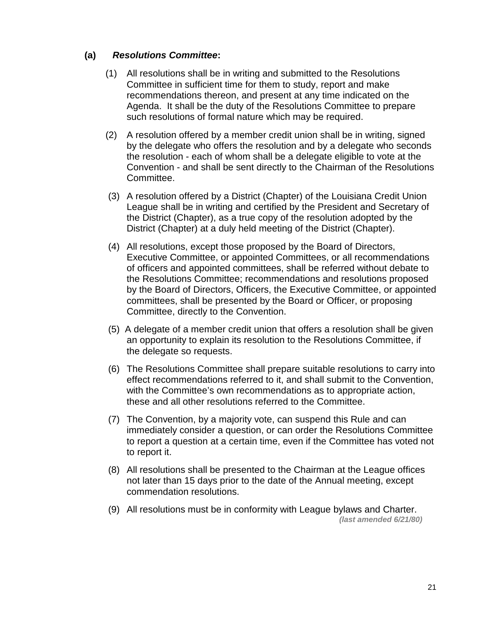#### **(a)** *Resolutions Committee***:**

- (1) All resolutions shall be in writing and submitted to the Resolutions Committee in sufficient time for them to study, report and make recommendations thereon, and present at any time indicated on the Agenda. It shall be the duty of the Resolutions Committee to prepare such resolutions of formal nature which may be required.
- (2) A resolution offered by a member credit union shall be in writing, signed by the delegate who offers the resolution and by a delegate who seconds the resolution - each of whom shall be a delegate eligible to vote at the Convention - and shall be sent directly to the Chairman of the Resolutions Committee.
- (3) A resolution offered by a District (Chapter) of the Louisiana Credit Union League shall be in writing and certified by the President and Secretary of the District (Chapter), as a true copy of the resolution adopted by the District (Chapter) at a duly held meeting of the District (Chapter).
- (4) All resolutions, except those proposed by the Board of Directors, Executive Committee, or appointed Committees, or all recommendations of officers and appointed committees, shall be referred without debate to the Resolutions Committee; recommendations and resolutions proposed by the Board of Directors, Officers, the Executive Committee, or appointed committees, shall be presented by the Board or Officer, or proposing Committee, directly to the Convention.
- (5) A delegate of a member credit union that offers a resolution shall be given an opportunity to explain its resolution to the Resolutions Committee, if the delegate so requests.
- (6) The Resolutions Committee shall prepare suitable resolutions to carry into effect recommendations referred to it, and shall submit to the Convention, with the Committee's own recommendations as to appropriate action, these and all other resolutions referred to the Committee.
- (7) The Convention, by a majority vote, can suspend this Rule and can immediately consider a question, or can order the Resolutions Committee to report a question at a certain time, even if the Committee has voted not to report it.
- (8) All resolutions shall be presented to the Chairman at the League offices not later than 15 days prior to the date of the Annual meeting, except commendation resolutions.
- (9) All resolutions must be in conformity with League bylaws and Charter. *(last amended 6/21/80)*